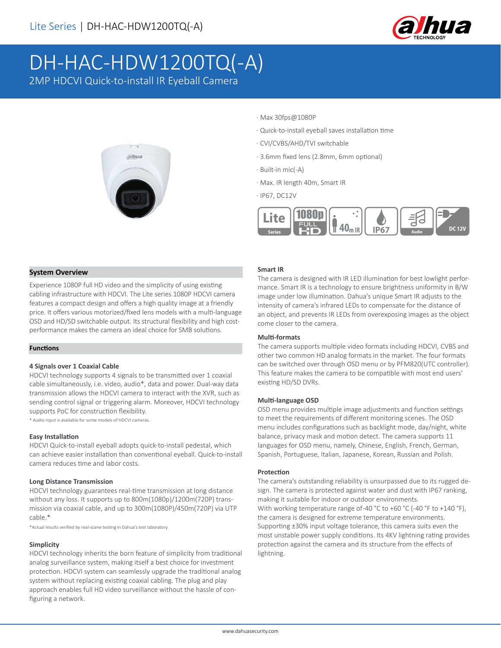

# DH-HAC-HDW1200TQ(-A)

2MP HDCVI Quick-to-install IR Eyeball Camera



- · Max 30fps@1080P
- · Quick-to-install eyeball saves installation time
- · CVI/CVBS/AHD/TVI switchable
- · 3.6mm fixed lens (2.8mm, 6mm optional)
- · Built-in mic(-A)
- · Max. IR length 40m, Smart IR
- · IP67, DC12V



### **System Overview**

Experience 1080P full HD video and the simplicity of using existing cabling infrastructure with HDCVI. The Lite series 1080P HDCVI camera features a compact design and offers a high quality image at a friendly price. It offers various motorized/fixed lens models with a multi-language OSD and HD/SD switchable output. Its structural flexibility and high costperformance makes the camera an ideal choice for SMB solutions.

#### **Functions**

#### **4 Signals over 1 Coaxial Cable**

HDCVI technology supports 4 signals to be transmitted over 1 coaxial cable simultaneously, i.e. video, audio\*, data and power. Dual-way data transmission allows the HDCVI camera to interact with the XVR, such as sending control signal or triggering alarm. Moreover, HDCVI technology supports PoC for construction flexibility.

\* Audio input is available for some models of HDCVI cameras.

#### **Easy Installation**

HDCVI Quick-to-install eyeball adopts quick-to-install pedestal, which can achieve easier installation than conventional eyeball. Quick-to-install camera reduces time and labor costs.

#### **Long Distance Transmission**

HDCVI technology guarantees real-time transmission at long distance without any loss. It supports up to 800m(1080p)/1200m(720P) transmission via coaxial cable, and up to 300m(1080P)/450m(720P) via UTP cable.\*

\*Actual results verified by real-scene testing in Dahua's test laboratory.

#### **Simplicity**

HDCVI technology inherits the born feature of simplicity from traditional analog surveillance system, making itself a best choice for investment protection. HDCVI system can seamlessly upgrade the traditional analog system without replacing existing coaxial cabling. The plug and play approach enables full HD video surveillance without the hassle of configuring a network.

#### **Smart IR**

The camera is designed with IR LED illumination for best lowlight performance. Smart IR is a technology to ensure brightness uniformity in B/W image under low illumination. Dahua's unique Smart IR adjusts to the intensity of camera's infrared LEDs to compensate for the distance of an object, and prevents IR LEDs from overexposing images as the object come closer to the camera.

#### **Multi-formats**

The camera supports multiple video formats including HDCVI, CVBS and other two common HD analog formats in the market. The four formats can be switched over through OSD menu or by PFM820(UTC controller). This feature makes the camera to be compatible with most end users' existing HD/SD DVRs.

#### **Multi-language OSD**

OSD menu provides multiple image adjustments and function settings to meet the requirements of different monitoring scenes. The OSD menu includes configurations such as backlight mode, day/night, white balance, privacy mask and motion detect. The camera supports 11 languages for OSD menu, namely, Chinese, English, French, German, Spanish, Portuguese, Italian, Japanese, Korean, Russian and Polish.

#### **Protection**

The camera's outstanding reliability is unsurpassed due to its rugged design. The camera is protected against water and dust with IP67 ranking, making it suitable for indoor or outdoor environments. With working temperature range of-40 °C to +60 °C (-40 °F to +140 °F), the camera is designed for extreme temperature environments. Supporting ±30% input voltage tolerance, this camera suits even the most unstable power supply conditions. Its 4KV lightning rating provides protection against the camera and its structure from the effects of lightning.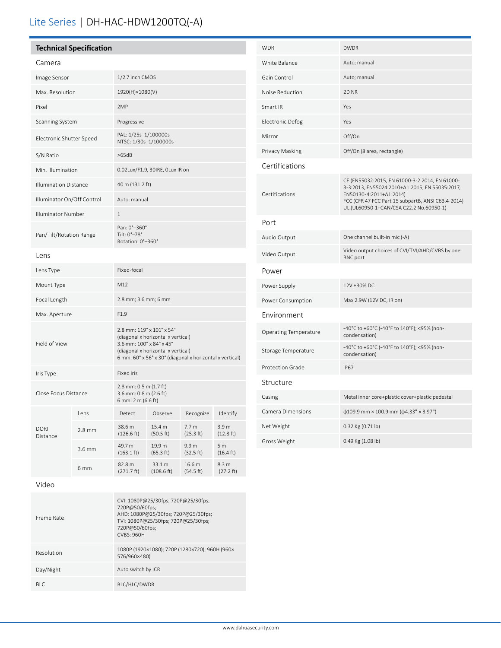# Lite Series | DH-HAC-HDW1200TQ(-A)

| Camera                       |        |                                                                                                                                                                                               |                      |                     |                                       |  |
|------------------------------|--------|-----------------------------------------------------------------------------------------------------------------------------------------------------------------------------------------------|----------------------|---------------------|---------------------------------------|--|
| Image Sensor                 |        | 1/2.7 inch CMOS                                                                                                                                                                               |                      |                     |                                       |  |
| Max. Resolution              |        | 1920(H)×1080(V)                                                                                                                                                                               |                      |                     |                                       |  |
| Pixel                        |        | 2MP                                                                                                                                                                                           |                      |                     |                                       |  |
| Scanning System              |        | Progressive                                                                                                                                                                                   |                      |                     |                                       |  |
| Electronic Shutter Speed     |        | PAL: 1/25s-1/100000s<br>NTSC: 1/30s-1/100000s                                                                                                                                                 |                      |                     |                                       |  |
| S/N Ratio                    |        | >65dB                                                                                                                                                                                         |                      |                     |                                       |  |
| Min. Illumination            |        | 0.02Lux/F1.9, 30IRE, 0Lux IR on                                                                                                                                                               |                      |                     |                                       |  |
| <b>Illumination Distance</b> |        | 40 m (131.2 ft)                                                                                                                                                                               |                      |                     |                                       |  |
| Illuminator On/Off Control   |        | Auto; manual                                                                                                                                                                                  |                      |                     |                                       |  |
| Illuminator Number           |        | $\mathbf{1}$                                                                                                                                                                                  |                      |                     |                                       |  |
| Pan/Tilt/Rotation Range      |        | Pan: 0°-360°<br>Tilt: 0°-78°<br>Rotation: 0°-360°                                                                                                                                             |                      |                     |                                       |  |
| Lens                         |        |                                                                                                                                                                                               |                      |                     |                                       |  |
| Lens Type                    |        | Fixed-focal                                                                                                                                                                                   |                      |                     |                                       |  |
| Mount Type                   |        | M12                                                                                                                                                                                           |                      |                     |                                       |  |
| Focal Length                 |        | 2.8 mm; 3.6 mm; 6 mm                                                                                                                                                                          |                      |                     |                                       |  |
| Max. Aperture                |        | F1.9                                                                                                                                                                                          |                      |                     |                                       |  |
| Field of View                |        | 2.8 mm: 119° x 101° x 54°<br>(diagonal x horizontal x vertical)<br>3.6 mm: 100° x 84° x 45°<br>(diagonal x horizontal x vertical)<br>6 mm: 60° x 56° x 30° (diagonal x horizontal x vertical) |                      |                     |                                       |  |
| Iris Type                    |        | Fixed iris                                                                                                                                                                                    |                      |                     |                                       |  |
| Close Focus Distance         |        | 2.8 mm: 0.5 m (1.7 ft)<br>3.6 mm: 0.8 m (2.6 ft)<br>6 mm: 2 m (6.6 ft)                                                                                                                        |                      |                     |                                       |  |
|                              | Lens   | Detect                                                                                                                                                                                        | Observe              | Recognize           | Identify                              |  |
| <b>DORI</b><br>Distance      | 2.8 mm | 38.6 m<br>(126.6 ft)                                                                                                                                                                          | 15.4 m<br>(50.5 ft)  | 7.7 m<br>(25.3 ft)  | 3.9 <sub>m</sub><br>(12.8 ft)         |  |
|                              | 3.6 mm | 49.7 m<br>$(163.1 \text{ ft})$                                                                                                                                                                | 19.9 m<br>(65.3 ft)  | 9.9 m<br>(32.5 ft)  | 5 <sub>m</sub><br>$(16.4 \text{ ft})$ |  |
|                              | 6 mm   | 82.8 m<br>(271.7 ft)                                                                                                                                                                          | 33.1 m<br>(108.6 ft) | 16.6 m<br>(54.5 ft) | 8.3 m<br>(27.2 ft)                    |  |
| Video                        |        |                                                                                                                                                                                               |                      |                     |                                       |  |

| <b>WDR</b>                   | <b>DWDR</b>                                                                                                                                                                                                                  |  |  |  |  |
|------------------------------|------------------------------------------------------------------------------------------------------------------------------------------------------------------------------------------------------------------------------|--|--|--|--|
| White Balance                | Auto; manual                                                                                                                                                                                                                 |  |  |  |  |
| Gain Control                 | Auto; manual                                                                                                                                                                                                                 |  |  |  |  |
| Noise Reduction              | 2D <sub>NR</sub>                                                                                                                                                                                                             |  |  |  |  |
| Smart IR                     | Yes                                                                                                                                                                                                                          |  |  |  |  |
| <b>Electronic Defog</b>      | Yes                                                                                                                                                                                                                          |  |  |  |  |
| Mirror                       | Off/On                                                                                                                                                                                                                       |  |  |  |  |
| Privacy Masking              | Off/On (8 area, rectangle)                                                                                                                                                                                                   |  |  |  |  |
| Certifications               |                                                                                                                                                                                                                              |  |  |  |  |
| Certifications               | CE (EN55032:2015, EN 61000-3-2:2014, EN 61000-<br>3-3:2013, EN55024:2010+A1:2015, EN 55035:2017,<br>EN50130-4:2011+A1:2014)<br>FCC (CFR 47 FCC Part 15 subpartB, ANSI C63.4-2014)<br>UL (UL60950-1+CAN/CSA C22.2 No.60950-1) |  |  |  |  |
| Port                         |                                                                                                                                                                                                                              |  |  |  |  |
| Audio Output                 | One channel built-in mic (-A)                                                                                                                                                                                                |  |  |  |  |
| Video Output                 | Video output choices of CVI/TVI/AHD/CVBS by one<br><b>BNC</b> port                                                                                                                                                           |  |  |  |  |
| Power                        |                                                                                                                                                                                                                              |  |  |  |  |
| Power Supply                 | 12V ±30% DC                                                                                                                                                                                                                  |  |  |  |  |
| Power Consumption            | Max 2.9W (12V DC, IR on)                                                                                                                                                                                                     |  |  |  |  |
| Environment                  |                                                                                                                                                                                                                              |  |  |  |  |
| <b>Operating Temperature</b> | -40°C to +60°C (-40°F to 140°F); <95% (non-<br>condensation)                                                                                                                                                                 |  |  |  |  |
| Storage Temperature          | -40°C to +60°C (-40°F to 140°F); <95% (non-<br>condensation)                                                                                                                                                                 |  |  |  |  |
| Protection Grade             | <b>IP67</b>                                                                                                                                                                                                                  |  |  |  |  |
| Structure                    |                                                                                                                                                                                                                              |  |  |  |  |
| Casing                       | Metal inner core+plastic cover+plastic pedestal                                                                                                                                                                              |  |  |  |  |
| Camera Dimensions            | $\phi$ 109.9 mm × 100.9 mm ( $\phi$ 4.33" × 3.97")                                                                                                                                                                           |  |  |  |  |
| Net Weight                   | 0.32 Kg (0.71 lb)                                                                                                                                                                                                            |  |  |  |  |
| Gross Weight                 | 0.49 Kg (1.08 lb)                                                                                                                                                                                                            |  |  |  |  |

| Frame Rate | CVI: 1080P@25/30fps; 720P@25/30fps;<br>720P@50/60fps;<br>AHD: 1080P@25/30fps; 720P@25/30fps;<br>TVI: 1080P@25/30fps; 720P@25/30fps;<br>720P@50/60fps;<br><b>CVBS: 960H</b> |
|------------|----------------------------------------------------------------------------------------------------------------------------------------------------------------------------|
| Resolution | 1080P (1920×1080); 720P (1280×720); 960H (960×<br>576/960×480)                                                                                                             |
| Day/Night  | Auto switch by ICR                                                                                                                                                         |
| <b>BLC</b> | BLC/HLC/DWDR                                                                                                                                                               |